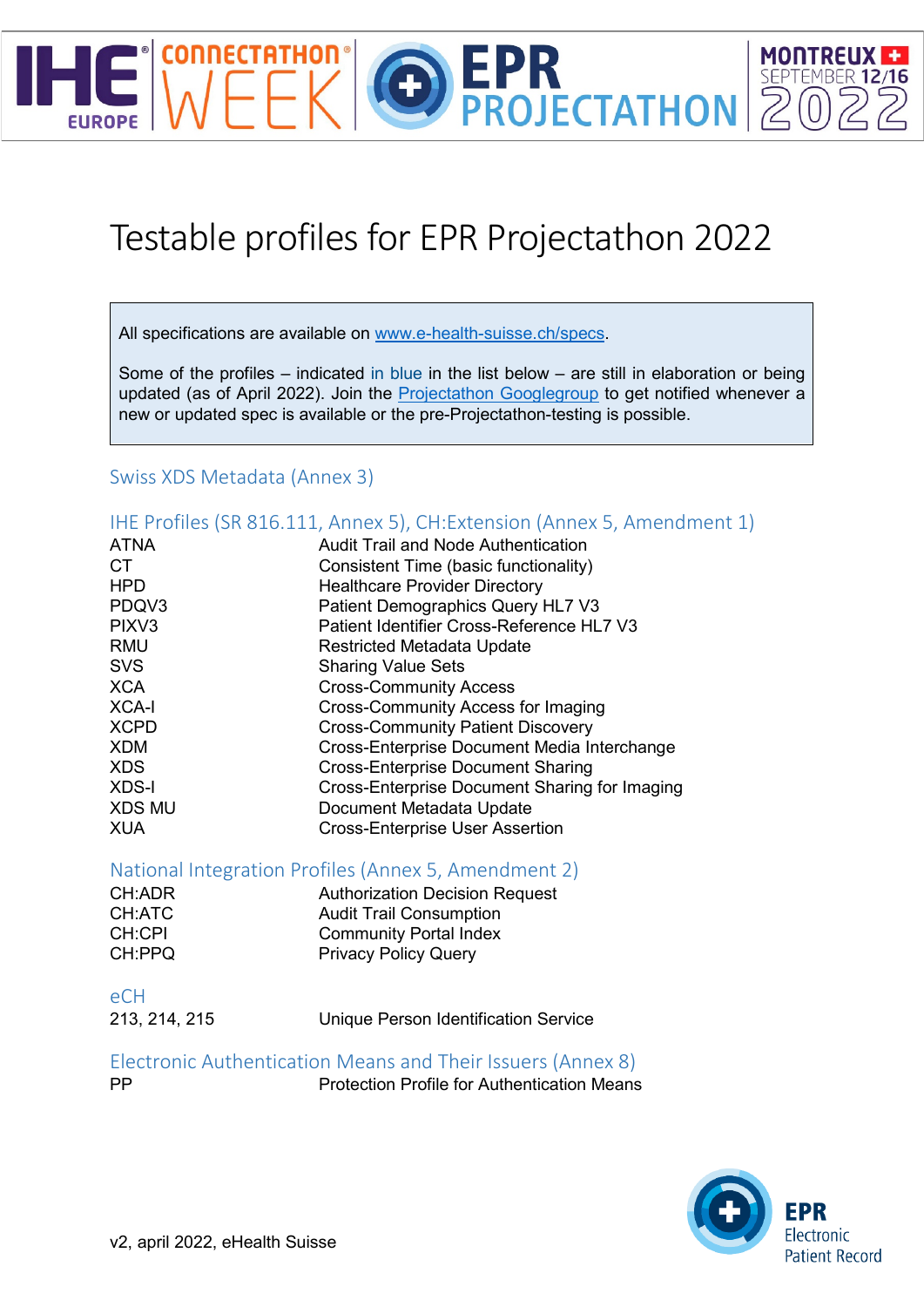# **O EPR**<br>**PROJECTATHON**

## Testable profiles for EPR Projectathon 2022

All specifications are available on [www.e-health-suisse.ch/specs.](http://www.e-health-suisse.ch/specs)

Some of the profiles – indicated in blue in the list below – are still in elaboration or being updated (as of April 2022). Join the **Projectathon Googlegroup** to get notified whenever a new or updated spec is available or the pre-Projectathon-testing is possible.

#### Swiss XDS Metadata (Annex 3)

#### IHE Profiles (SR 816.111, Annex 5), CH:Extension (Annex 5, Amendment 1)

| <b>ATNA</b>       | <b>Audit Trail and Node Authentication</b>    |
|-------------------|-----------------------------------------------|
| CT.               | Consistent Time (basic functionality)         |
| <b>HPD</b>        | <b>Healthcare Provider Directory</b>          |
| PDQV3             | Patient Demographics Query HL7 V3             |
| PIXV <sub>3</sub> | Patient Identifier Cross-Reference HL7 V3     |
| <b>RMU</b>        | <b>Restricted Metadata Update</b>             |
| <b>SVS</b>        | <b>Sharing Value Sets</b>                     |
| <b>XCA</b>        | <b>Cross-Community Access</b>                 |
| <b>XCA-I</b>      | <b>Cross-Community Access for Imaging</b>     |
| <b>XCPD</b>       | <b>Cross-Community Patient Discovery</b>      |
| <b>XDM</b>        | Cross-Enterprise Document Media Interchange   |
| <b>XDS</b>        | <b>Cross-Enterprise Document Sharing</b>      |
| <b>XDS-I</b>      | Cross-Enterprise Document Sharing for Imaging |
| <b>XDS MU</b>     | Document Metadata Update                      |
| <b>XUA</b>        | <b>Cross-Enterprise User Assertion</b>        |

#### National Integration Profiles (Annex 5, Amendment 2)

| CH:ADR | <b>Authorization Decision Request</b> |
|--------|---------------------------------------|
| CH:ATC | <b>Audit Trail Consumption</b>        |
| CH:CPI | <b>Community Portal Index</b>         |
| CH:PPQ | <b>Privacy Policy Query</b>           |

eCH 213, 214, 215 Unique Person Identification Service

#### Electronic Authentication Means and Their Issuers (Annex 8) Protection Profile for Authentication Means